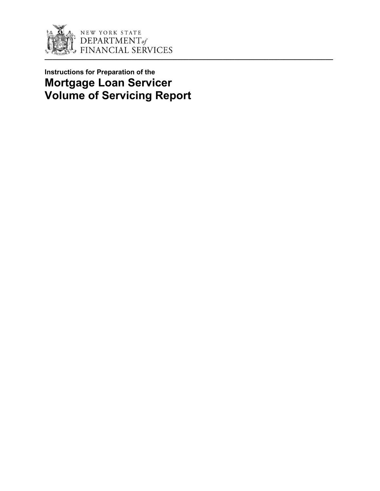

# **Instructions for Preparation of the Mortgage Loan Servicer Volume of Servicing Report**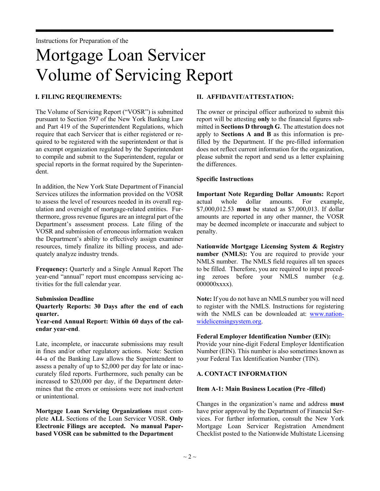# Mortgage Loan Servicer Volume of Servicing Report

 $\rightarrow$ 

# **I. FILING REQUIREMENTS:**

The Volume of Servicing Report ("VOSR") is submitted pursuant to Section 597 of the New York Banking Law and Part 419 of the Superintendent Regulations, which require that each Servicer that is either registered or required to be registered with the superintendent or that is an exempt organization regulated by the Superintendent to compile and submit to the Superintendent, regular or special reports in the format required by the Superintendent.

In addition, the New York State Department of Financial Services utilizes the information provided on the VOSR to assess the level of resources needed in its overall regulation and oversight of mortgage-related entities. Furthermore, gross revenue figures are an integral part of the Department's assessment process. Late filing of the VOSR and submission of erroneous information weaken the Department's ability to effectively assign examiner resources, timely finalize its billing process, and adequately analyze industry trends.

**Frequency:** Quarterly and a Single Annual Report The year-end "annual" report must encompass servicing activities for the full calendar year.

#### **Submission Deadline**

#### **Quarterly Reports: 30 Days after the end of each quarter.**

**Year-end Annual Report: Within 60 days of the calendar year-end**.

Late, incomplete, or inaccurate submissions may result in fines and/or other regulatory actions. Note: Section 44-a of the Banking Law allows the Superintendent to assess a penalty of up to \$2,000 per day for late or inaccurately filed reports. Furthermore, such penalty can be increased to \$20,000 per day, if the Department determines that the errors or omissions were not inadvertent or unintentional.

**Mortgage Loan Servicing Organizations** must complete **ALL** Sections of the Loan Servicer VOSR. **Only Electronic Filings are accepted. No manual Paperbased VOSR can be submitted to the Department** 

# **II. AFFIDAVIT/ATTESTATION:**

The owner or principal officer authorized to submit this report will be attesting **only** to the financial figures submitted in **Sections D through G**. The attestation does not apply to **Sections A and B** as this information is prefilled by the Department. If the pre-filled information does not reflect current information for the organization, please submit the report and send us a letter explaining the differences.

# **Specific Instructions**

**Important Note Regarding Dollar Amounts:** Report actual whole dollar amounts. For example, \$7,000,012.53 **must** be stated as \$7,000,013. If dollar amounts are reported in any other manner, the VOSR may be deemed incomplete or inaccurate and subject to penalty.

**Nationwide Mortgage Licensing System & Registry number (NMLS):** You are required to provide your NMLS number. The NMLS field requires all ten spaces to be filled. Therefore, you are required to input preceding zeroes before your NMLS number (e.g. 000000xxxx).

**Note:** If you do not have an NMLS number you will need to register with the NMLS. Instructions for registering with the NMLS can be downloaded at: [www.nation](http://mortgage.nationwidelicensingsystem.org/Pages/default.aspx)[widelicensingsystem.org.](http://mortgage.nationwidelicensingsystem.org/Pages/default.aspx)

### **Federal Employer Identification Number (EIN):**

Provide your nine-digit Federal Employer Identification Number (EIN). This number is also sometimes known as your Federal Tax Identification Number (TIN).

# **A. CONTACT INFORMATION**

### **Item A-1: Main Business Location (Pre -filled)**

Changes in the organization's name and address **must** have prior approval by the Department of Financial Services. For further information, consult the New York Mortgage Loan Servicer Registration Amendment Checklist posted to the Nationwide Multistate Licensing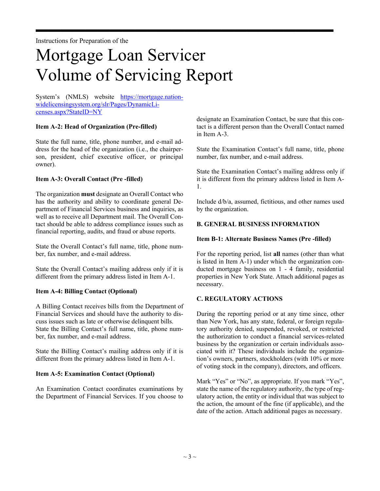# Mortgage Loan Servicer Volume of Servicing Report

 $\rightarrow$ 

System's (NMLS) website [https://mortgage.nation](https://mortgage.nationwidelicensingsystem.org/slr/Pages/DynamicLicenses.aspx?StateID=NY)[widelicensingsystem.org/slr/Pages/DynamicLi](https://mortgage.nationwidelicensingsystem.org/slr/Pages/DynamicLicenses.aspx?StateID=NY)[censes.aspx?StateID=NY](https://mortgage.nationwidelicensingsystem.org/slr/Pages/DynamicLicenses.aspx?StateID=NY)

# **Item A-2: Head of Organization (Pre-filled)**

State the full name, title, phone number, and e-mail address for the head of the organization (i.e., the chairperson, president, chief executive officer, or principal owner).

# **Item A-3: Overall Contact (Pre -filled)**

The organization **must** designate an Overall Contact who has the authority and ability to coordinate general Department of Financial Services business and inquiries, as well as to receive all Department mail. The Overall Contact should be able to address compliance issues such as financial reporting, audits, and fraud or abuse reports.

State the Overall Contact's full name, title, phone number, fax number, and e-mail address.

State the Overall Contact's mailing address only if it is different from the primary address listed in Item A-1.

### **Item A-4: Billing Contact (Optional)**

A Billing Contact receives bills from the Department of Financial Services and should have the authority to discuss issues such as late or otherwise delinquent bills. State the Billing Contact's full name, title, phone number, fax number, and e-mail address.

State the Billing Contact's mailing address only if it is different from the primary address listed in Item A-1.

### **Item A-5: Examination Contact (Optional)**

An Examination Contact coordinates examinations by the Department of Financial Services. If you choose to

designate an Examination Contact, be sure that this contact is a different person than the Overall Contact named in Item A-3.

State the Examination Contact's full name, title, phone number, fax number, and e-mail address.

State the Examination Contact's mailing address only if it is different from the primary address listed in Item A-1.

Include d/b/a, assumed, fictitious, and other names used by the organization.

# **B. GENERAL BUSINESS INFORMATION**

### **Item B-1: Alternate Business Names (Pre -filled)**

For the reporting period, list **all** names (other than what is listed in Item A-1) under which the organization conducted mortgage business on 1 - 4 family, residential properties in New York State. Attach additional pages as necessary.

### **C. REGULATORY ACTIONS**

During the reporting period or at any time since, other than New York, has any state, federal, or foreign regulatory authority denied, suspended, revoked, or restricted the authorization to conduct a financial services-related business by the organization or certain individuals associated with it? These individuals include the organization's owners, partners, stockholders (with 10% or more of voting stock in the company), directors, and officers.

Mark "Yes" or "No", as appropriate. If you mark "Yes", state the name of the regulatory authority, the type of regulatory action, the entity or individual that was subject to the action, the amount of the fine (if applicable), and the date of the action. Attach additional pages as necessary.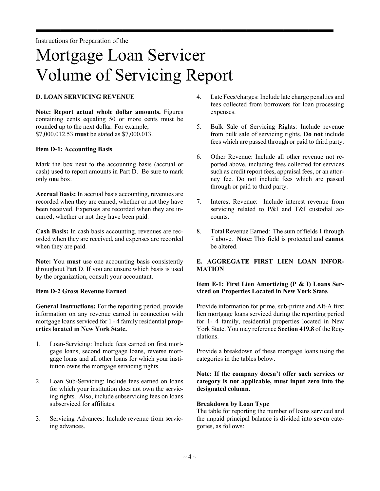# Mortgage Loan Servicer Volume of Servicing Report

 $\rightarrow$ 

# **D. LOAN SERVICING REVENUE**

**Note: Report actual whole dollar amounts.** Figures containing cents equaling 50 or more cents must be rounded up to the next dollar. For example, \$7,000,012.53 **must** be stated as \$7,000,013.

#### **Item D-1: Accounting Basis**

Mark the box next to the accounting basis (accrual or cash) used to report amounts in Part D. Be sure to mark only **one** box.

**Accrual Basis:** In accrual basis accounting, revenues are recorded when they are earned, whether or not they have been received. Expenses are recorded when they are incurred, whether or not they have been paid.

**Cash Basis:** In cash basis accounting, revenues are recorded when they are received, and expenses are recorded when they are paid.

**Note:** You **must** use one accounting basis consistently throughout Part D. If you are unsure which basis is used by the organization, consult your accountant.

### **Item D-2 Gross Revenue Earned**

**General Instructions:** For the reporting period, provide information on any revenue earned in connection with mortgage loans serviced for 1 - 4 family residential **properties located in New York State.**

- 1. Loan-Servicing: Include fees earned on first mortgage loans, second mortgage loans, reverse mortgage loans and all other loans for which your institution owns the mortgage servicing rights.
- 2. Loan Sub-Servicing: Include fees earned on loans for which your institution does not own the servicing rights. Also, include subservicing fees on loans subserviced for affiliates.
- 3. Servicing Advances: Include revenue from servicing advances.
- 4. Late Fees/charges: Include late charge penalties and fees collected from borrowers for loan processing expenses.
- 5. Bulk Sale of Servicing Rights: Include revenue from bulk sale of servicing rights. **Do not** include fees which are passed through or paid to third party.
- 6. Other Revenue: Include all other revenue not reported above, including fees collected for services such as credit report fees, appraisal fees, or an attorney fee. Do not include fees which are passed through or paid to third party.
- 7. Interest Revenue: Include interest revenue from servicing related to P&I and T&I custodial accounts.
- 8. Total Revenue Earned: The sum of fields 1 through 7 above. **Note:** This field is protected and **cannot** be altered.

# **E. AGGREGATE FIRST LIEN LOAN INFOR-MATION**

### **Item E-1: First Lien Amortizing (P & I) Loans Serviced on Properties Located in New York State.**

Provide information for prime, sub-prime and Alt-A first lien mortgage loans serviced during the reporting period for 1- 4 family, residential properties located in New York State. You may reference **Section 419.8** of the Regulations.

Provide a breakdown of these mortgage loans using the categories in the tables below.

# **Note: If the company doesn't offer such services or category is not applicable, must input zero into the designated column.**

### **Breakdown by Loan Type**

The table for reporting the number of loans serviced and the unpaid principal balance is divided into **seven** categories, as follows: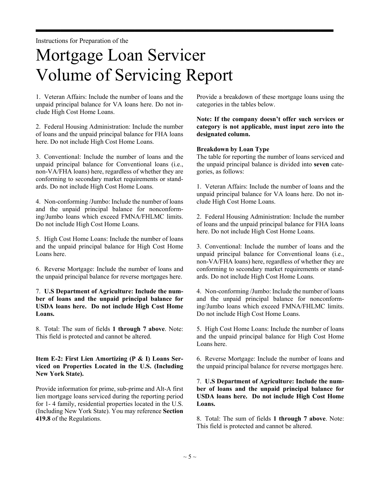# Mortgage Loan Servicer Volume of Servicing Report

 $\rightarrow$ 

1. Veteran Affairs: Include the number of loans and the unpaid principal balance for VA loans here. Do not include High Cost Home Loans.

2. Federal Housing Administration: Include the number of loans and the unpaid principal balance for FHA loans here. Do not include High Cost Home Loans.

3. Conventional: Include the number of loans and the unpaid principal balance for Conventional loans (i.e., non-VA/FHA loans) here, regardless of whether they are conforming to secondary market requirements or standards. Do not include High Cost Home Loans.

4. Non-conforming /Jumbo: Include the number of loans and the unpaid principal balance for nonconforming/Jumbo loans which exceed FMNA/FHLMC limits. Do not include High Cost Home Loans.

5. High Cost Home Loans: Include the number of loans and the unpaid principal balance for High Cost Home Loans here.

6. Reverse Mortgage: Include the number of loans and the unpaid principal balance for reverse mortgages here.

# 7. **U.S Department of Agriculture: Include the number of loans and the unpaid principal balance for USDA loans here. Do not include High Cost Home Loans.**

8. Total: The sum of fields **1 through 7 above**. Note: This field is protected and cannot be altered.

# **Item E-2: First Lien Amortizing (P & I) Loans Serviced on Properties Located in the U.S. (Including New York State).**

Provide information for prime, sub-prime and Alt-A first lien mortgage loans serviced during the reporting period for 1- 4 family, residential properties located in the U.S. (Including New York State). You may reference **Section 419.8** of the Regulations.

Provide a breakdown of these mortgage loans using the categories in the tables below.

# **Note: If the company doesn't offer such services or category is not applicable, must input zero into the designated column.**

### **Breakdown by Loan Type**

The table for reporting the number of loans serviced and the unpaid principal balance is divided into **seven** categories, as follows:

1. Veteran Affairs: Include the number of loans and the unpaid principal balance for VA loans here. Do not include High Cost Home Loans.

2. Federal Housing Administration: Include the number of loans and the unpaid principal balance for FHA loans here. Do not include High Cost Home Loans.

3. Conventional: Include the number of loans and the unpaid principal balance for Conventional loans (i.e., non-VA/FHA loans) here, regardless of whether they are conforming to secondary market requirements or standards. Do not include High Cost Home Loans.

4. Non-conforming /Jumbo: Include the number of loans and the unpaid principal balance for nonconforming/Jumbo loans which exceed FMNA/FHLMC limits. Do not include High Cost Home Loans.

5. High Cost Home Loans: Include the number of loans and the unpaid principal balance for High Cost Home Loans here.

6. Reverse Mortgage: Include the number of loans and the unpaid principal balance for reverse mortgages here.

# 7. **U.S Department of Agriculture: Include the number of loans and the unpaid principal balance for USDA loans here. Do not include High Cost Home Loans.**

8. Total: The sum of fields **1 through 7 above**. Note: This field is protected and cannot be altered.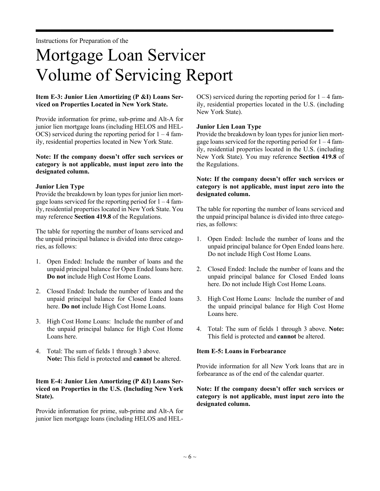# Mortgage Loan Servicer Volume of Servicing Report

 $\rightarrow$ 

# **Item E-3: Junior Lien Amortizing (P &I) Loans Serviced on Properties Located in New York State.**

Provide information for prime, sub-prime and Alt-A for junior lien mortgage loans (including HELOS and HEL-OCS) serviced during the reporting period for  $1 - 4$  family, residential properties located in New York State.

#### **Note: If the company doesn't offer such services or category is not applicable, must input zero into the designated column.**

### **Junior Lien Type**

Provide the breakdown by loan types for junior lien mortgage loans serviced for the reporting period for 1 – 4 family, residential properties located in New York State. You may reference **Section 419.8** of the Regulations.

The table for reporting the number of loans serviced and the unpaid principal balance is divided into three categories, as follows:

- 1. Open Ended: Include the number of loans and the unpaid principal balance for Open Ended loans here. **Do not** include High Cost Home Loans.
- 2. Closed Ended: Include the number of loans and the unpaid principal balance for Closed Ended loans here. **Do not** include High Cost Home Loans.
- 3. High Cost Home Loans: Include the number of and the unpaid principal balance for High Cost Home Loans here.
- 4. Total: The sum of fields 1 through 3 above. **Note:** This field is protected and **cannot** be altered.

# **Item E-4: Junior Lien Amortizing (P &I) Loans Serviced on Properties in the U.S. (Including New York State).**

Provide information for prime, sub-prime and Alt-A for junior lien mortgage loans (including HELOS and HEL-

OCS) serviced during the reporting period for  $1 - 4$  family, residential properties located in the U.S. (including New York State).

### **Junior Lien Loan Type**

Provide the breakdown by loan types for junior lien mortgage loans serviced for the reporting period for  $1 - 4$  family, residential properties located in the U.S. (including New York State). You may reference **Section 419.8** of the Regulations.

### **Note: If the company doesn't offer such services or category is not applicable, must input zero into the designated column.**

The table for reporting the number of loans serviced and the unpaid principal balance is divided into three categories, as follows:

- 1. Open Ended: Include the number of loans and the unpaid principal balance for Open Ended loans here. Do not include High Cost Home Loans.
- 2. Closed Ended: Include the number of loans and the unpaid principal balance for Closed Ended loans here. Do not include High Cost Home Loans.
- 3. High Cost Home Loans: Include the number of and the unpaid principal balance for High Cost Home Loans here.
- 4. Total: The sum of fields 1 through 3 above. **Note:** This field is protected and **cannot** be altered.

### **Item E-5: Loans in Forbearance**

Provide information for all New York loans that are in forbearance as of the end of the calendar quarter.

# **Note: If the company doesn't offer such services or category is not applicable, must input zero into the designated column.**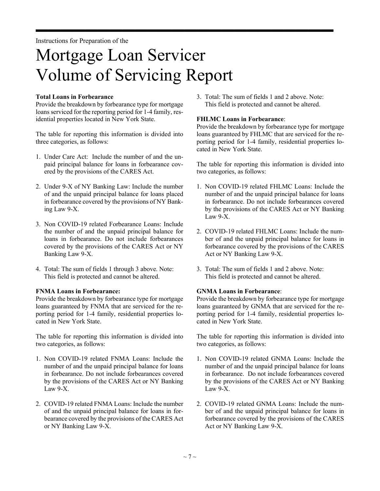# Mortgage Loan Servicer Volume of Servicing Report

 $\rightarrow$ 

# **Total Loans in Forbearance**

Provide the breakdown by forbearance type for mortgage loans serviced for the reporting period for 1-4 family, residential properties located in New York State.

The table for reporting this information is divided into three categories, as follows:

- 1. Under Care Act: Include the number of and the unpaid principal balance for loans in forbearance covered by the provisions of the CARES Act.
- 2. Under 9-X of NY Banking Law: Include the number of and the unpaid principal balance for loans placed in forbearance covered by the provisions of NY Banking Law 9-X.
- 3. Non COVID-19 related Forbearance Loans: Include the number of and the unpaid principal balance for loans in forbearance. Do not include forbearances covered by the provisions of the CARES Act or NY Banking Law 9-X.
- 4. Total: The sum of fields 1 through 3 above. Note: This field is protected and cannot be altered.

### **FNMA Loans in Forbearance:**

Provide the breakdown by forbearance type for mortgage loans guaranteed by FNMA that are serviced for the reporting period for 1-4 family, residential properties located in New York State.

The table for reporting this information is divided into two categories, as follows:

- 1. Non COVID-19 related FNMA Loans: Include the number of and the unpaid principal balance for loans in forbearance. Do not include forbearances covered by the provisions of the CARES Act or NY Banking Law 9-X.
- 2. COVID-19 related FNMA Loans: Include the number of and the unpaid principal balance for loans in forbearance covered by the provisions of the CARES Act or NY Banking Law 9-X.

3. Total: The sum of fields 1 and 2 above. Note: This field is protected and cannot be altered.

#### **FHLMC Loans in Forbearance**:

Provide the breakdown by forbearance type for mortgage loans guaranteed by FHLMC that are serviced for the reporting period for 1-4 family, residential properties located in New York State.

The table for reporting this information is divided into two categories, as follows:

- 1. Non COVID-19 related FHLMC Loans: Include the number of and the unpaid principal balance for loans in forbearance. Do not include forbearances covered by the provisions of the CARES Act or NY Banking Law  $9-X$ .
- 2. COVID-19 related FHLMC Loans: Include the number of and the unpaid principal balance for loans in forbearance covered by the provisions of the CARES Act or NY Banking Law 9-X.
- 3. Total: The sum of fields 1 and 2 above. Note: This field is protected and cannot be altered.

### **GNMA Loans in Forbearance**:

Provide the breakdown by forbearance type for mortgage loans guaranteed by GNMA that are serviced for the reporting period for 1-4 family, residential properties located in New York State.

The table for reporting this information is divided into two categories, as follows:

- 1. Non COVID-19 related GNMA Loans: Include the number of and the unpaid principal balance for loans in forbearance. Do not include forbearances covered by the provisions of the CARES Act or NY Banking Law 9-X.
- 2. COVID-19 related GNMA Loans: Include the number of and the unpaid principal balance for loans in forbearance covered by the provisions of the CARES Act or NY Banking Law 9-X.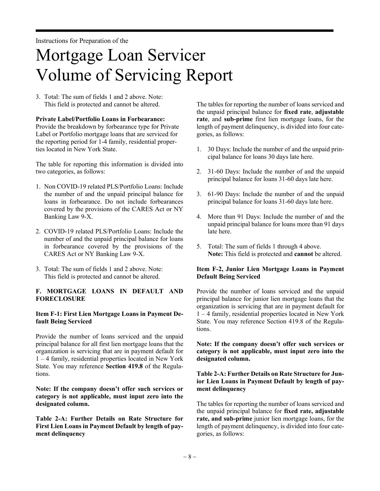# Mortgage Loan Servicer Volume of Servicing Report

 $\rightarrow$ 

3. Total: The sum of fields 1 and 2 above. Note: This field is protected and cannot be altered.

### **Private Label/Portfolio Loans in Forbearance:**

Provide the breakdown by forbearance type for Private Label or Portfolio mortgage loans that are serviced for the reporting period for 1-4 family, residential properties located in New York State.

The table for reporting this information is divided into two categories, as follows:

- 1. Non COVID-19 related PLS/Portfolio Loans: Include the number of and the unpaid principal balance for loans in forbearance. Do not include forbearances covered by the provisions of the CARES Act or NY Banking Law 9-X.
- 2. COVID-19 related PLS/Portfolio Loans: Include the number of and the unpaid principal balance for loans in forbearance covered by the provisions of the CARES Act or NY Banking Law 9-X.
- 3. Total: The sum of fields 1 and 2 above. Note: This field is protected and cannot be altered.

# **F. MORTGAGE LOANS IN DEFAULT AND FORECLOSURE**

### **Item F-1: First Lien Mortgage Loans in Payment Default Being Serviced**

Provide the number of loans serviced and the unpaid principal balance for all first lien mortgage loans that the organization is servicing that are in payment default for 1 – 4 family, residential properties located in New York State. You may reference **Section 419.8** of the Regulations.

**Note: If the company doesn't offer such services or category is not applicable, must input zero into the designated column.**

**Table 2-A: Further Details on Rate Structure for First Lien Loans in Payment Default by length of payment delinquency** 

The tables for reporting the number of loans serviced and the unpaid principal balance for **fixed rate**, **adjustable rate**, and **sub-prime** first lien mortgage loans, for the length of payment delinquency, is divided into four categories, as follows:

- 1. 30 Days: Include the number of and the unpaid principal balance for loans 30 days late here.
- 2. 31-60 Days: Include the number of and the unpaid principal balance for loans 31-60 days late here.
- 3. 61-90 Days: Include the number of and the unpaid principal balance for loans 31-60 days late here.
- 4. More than 91 Days: Include the number of and the unpaid principal balance for loans more than 91 days late here.
- 5. Total: The sum of fields 1 through 4 above. **Note:** This field is protected and **cannot** be altered.

# **Item F-2, Junior Lien Mortgage Loans in Payment Default Being Serviced**

Provide the number of loans serviced and the unpaid principal balance for junior lien mortgage loans that the organization is servicing that are in payment default for 1 – 4 family, residential properties located in New York State. You may reference Section 419.8 of the Regulations.

**Note: If the company doesn't offer such services or category is not applicable, must input zero into the designated column.** 

# **Table 2-A: Further Details on Rate Structure for Junior Lien Loans in Payment Default by length of payment delinquency**

The tables for reporting the number of loans serviced and the unpaid principal balance for **fixed rate, adjustable rate, and sub-prime** junior lien mortgage loans, for the length of payment delinquency, is divided into four categories, as follows: